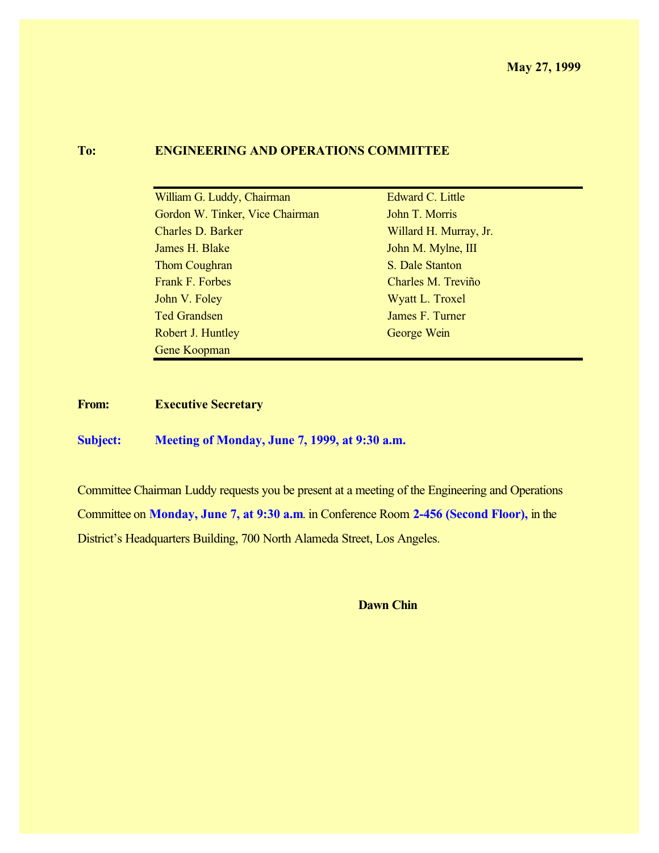#### **To: ENGINEERING AND OPERATIONS COMMITTEE**

| William G. Luddy, Chairman      | Edward C. Little       |
|---------------------------------|------------------------|
| Gordon W. Tinker, Vice Chairman | John T. Morris         |
| <b>Charles D. Barker</b>        | Willard H. Murray, Jr. |
| James H. Blake                  | John M. Mylne, III     |
| Thom Coughran                   | S. Dale Stanton        |
| Frank F. Forbes                 | Charles M. Treviño     |
| John V. Foley                   | Wyatt L. Troxel        |
| <b>Ted Grandsen</b>             | James F. Turner        |
| Robert J. Huntley               | George Wein            |
| Gene Koopman                    |                        |

**From: Executive Secretary**

**Subject: Meeting of Monday, June 7, 1999, at 9:30 a.m.**

Committee Chairman Luddy requests you be present at a meeting of the Engineering and Operations Committee on **Monday, June 7, at 9:30 a.m**. in Conference Room **2-456 (Second Floor),** in the District's Headquarters Building, 700 North Alameda Street, Los Angeles.

**Dawn Chin**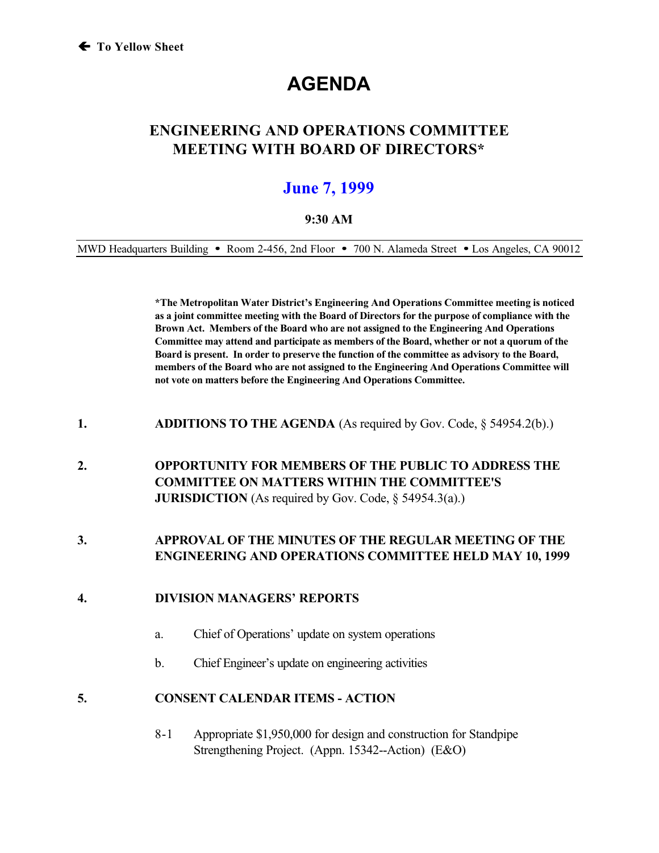# **AGENDA**

# **ENGINEERING AND OPERATIONS COMMITTEE MEETING WITH BOARD OF DIRECTORS\***

# **June 7, 1999**

#### **9:30 AM**

MWD Headquarters Building • Room 2-456, 2nd Floor • 700 N. Alameda Street • Los Angeles, CA 90012

**\*The Metropolitan Water District's Engineering And Operations Committee meeting is noticed as a joint committee meeting with the Board of Directors for the purpose of compliance with the Brown Act. Members of the Board who are not assigned to the Engineering And Operations Committee may attend and participate as members of the Board, whether or not a quorum of the Board is present. In order to preserve the function of the committee as advisory to the Board, members of the Board who are not assigned to the Engineering And Operations Committee will not vote on matters before the Engineering And Operations Committee.**

**1. ADDITIONS TO THE AGENDA** (As required by Gov. Code, § 54954.2(b).)

## **2. OPPORTUNITY FOR MEMBERS OF THE PUBLIC TO ADDRESS THE COMMITTEE ON MATTERS WITHIN THE COMMITTEE'S JURISDICTION** (As required by Gov. Code, § 54954.3(a).)

### **3. APPROVAL OF THE MINUTES OF THE REGULAR MEETING OF THE ENGINEERING AND OPERATIONS COMMITTEE HELD MAY 10, 1999**

#### **4. DIVISION MANAGERS' REPORTS**

- a. Chief of Operations' update on system operations
- b. Chief Engineer's update on engineering activities

#### **5. CONSENT CALENDAR ITEMS - ACTION**

8-1 Appropriate \$1,950,000 for design and construction for Standpipe Strengthening Project. (Appn. 15342--Action) (E&O)